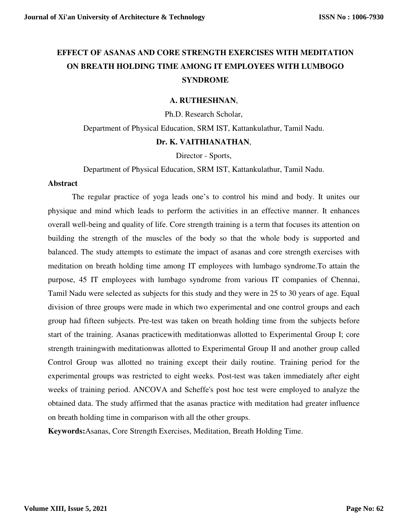# **EFFECT OF ASANAS AND CORE STRENGTH EXERCISES WITH MEDITATION ON BREATH HOLDING TIME AMONG IT EMPLOYEES WITH LUMBOGO SYNDROME**

#### **A. RUTHESHNAN**,

Ph.D. Research Scholar,

Department of Physical Education, SRM IST, Kattankulathur, Tamil Nadu. **Dr. K. VAITHIANATHAN**,

Director - Sports,

Department of Physical Education, SRM IST, Kattankulathur, Tamil Nadu.

#### **Abstract**

The regular practice of yoga leads one's to control his mind and body. It unites our physique and mind which leads to perform the activities in an effective manner. It enhances overall well-being and quality of life. Core strength training is a term that focuses its attention on building the strength of the muscles of the body so that the whole body is supported and balanced. The study attempts to estimate the impact of asanas and core strength exercises with meditation on breath holding time among IT employees with lumbago syndrome.To attain the purpose, 45 IT employees with lumbago syndrome from various IT companies of Chennai, Tamil Nadu were selected as subjects for this study and they were in 25 to 30 years of age. Equal division of three groups were made in which two experimental and one control groups and each group had fifteen subjects. Pre-test was taken on breath holding time from the subjects before start of the training. Asanas practicewith meditationwas allotted to Experimental Group I; core strength trainingwith meditationwas allotted to Experimental Group II and another group called Control Group was allotted no training except their daily routine. Training period for the experimental groups was restricted to eight weeks. Post-test was taken immediately after eight weeks of training period. ANCOVA and Scheffe's post hoc test were employed to analyze the obtained data. The study affirmed that the asanas practice with meditation had greater influence on breath holding time in comparison with all the other groups.

**Keywords:**Asanas, Core Strength Exercises, Meditation, Breath Holding Time.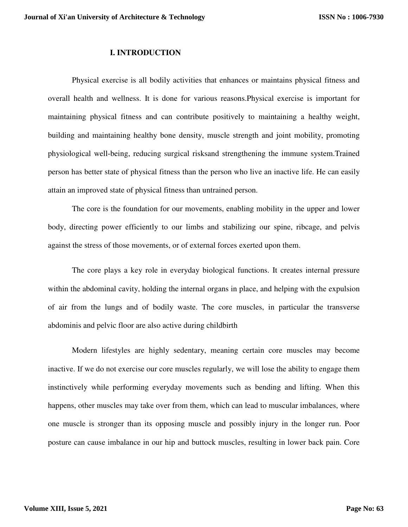#### **I. INTRODUCTION**

Physical exercise is all bodily activities that enhances or maintains physical fitness and overall health and wellness. It is done for various reasons.Physical exercise is important for maintaining physical fitness and can contribute positively to maintaining a healthy weight, building and maintaining healthy bone density, muscle strength and joint mobility, promoting physiological well-being, reducing surgical risksand strengthening the immune system.Trained person has better state of physical fitness than the person who live an inactive life. He can easily attain an improved state of physical fitness than untrained person.

The core is the foundation for our movements, enabling mobility in the upper and lower body, directing power efficiently to our limbs and stabilizing our spine, ribcage, and pelvis against the stress of those movements, or of external forces exerted upon them.

The core plays a key role in everyday biological functions. It creates internal pressure within the abdominal cavity, holding the internal organs in place, and helping with the expulsion of air from the lungs and of bodily waste. The core muscles, in particular the transverse abdominis and pelvic floor are also active during childbirth

 Modern lifestyles are highly sedentary, meaning certain core muscles may become inactive. If we do not exercise our core muscles regularly, we will lose the ability to engage them instinctively while performing everyday movements such as bending and lifting. When this happens, other muscles may take over from them, which can lead to muscular imbalances, where one muscle is stronger than its opposing muscle and possibly injury in the longer run. Poor posture can cause imbalance in our hip and buttock muscles, resulting in lower back pain. Core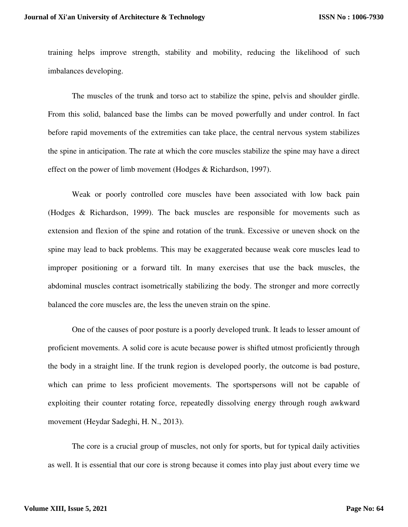training helps improve strength, stability and mobility, reducing the likelihood of such imbalances developing.

The muscles of the trunk and torso act to stabilize the spine, pelvis and shoulder girdle. From this solid, balanced base the limbs can be moved powerfully and under control. In fact before rapid movements of the extremities can take place, the central nervous system stabilizes the spine in anticipation. The rate at which the core muscles stabilize the spine may have a direct effect on the power of limb movement (Hodges & Richardson, 1997).

Weak or poorly controlled core muscles have been associated with low back pain (Hodges & Richardson, 1999). The back muscles are responsible for movements such as extension and flexion of the spine and rotation of the trunk. Excessive or uneven shock on the spine may lead to back problems. This may be exaggerated because weak core muscles lead to improper positioning or a forward tilt. In many exercises that use the back muscles, the abdominal muscles contract isometrically stabilizing the body. The stronger and more correctly balanced the core muscles are, the less the uneven strain on the spine.

One of the causes of poor posture is a poorly developed trunk. It leads to lesser amount of proficient movements. A solid core is acute because power is shifted utmost proficiently through the body in a straight line. If the trunk region is developed poorly, the outcome is bad posture, which can prime to less proficient movements. The sportspersons will not be capable of exploiting their counter rotating force, repeatedly dissolving energy through rough awkward movement (Heydar Sadeghi, H. N., 2013).

The core is a crucial group of muscles, not only for sports, but for typical daily activities as well. It is essential that our core is strong because it comes into play just about every time we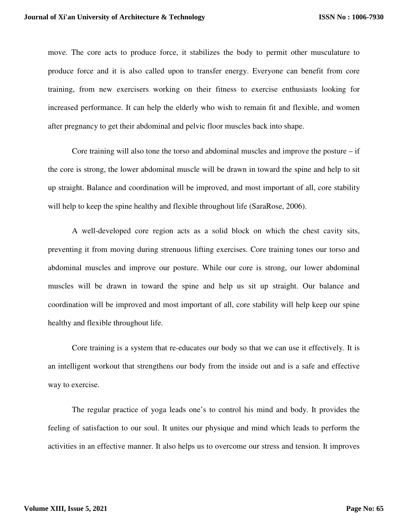move. The core acts to produce force, it stabilizes the body to permit other musculature to produce force and it is also called upon to transfer energy. Everyone can benefit from core training, from new exercisers working on their fitness to exercise enthusiasts looking for increased performance. It can help the elderly who wish to remain fit and flexible, and women after pregnancy to get their abdominal and pelvic floor muscles back into shape.

Core training will also tone the torso and abdominal muscles and improve the posture – if the core is strong, the lower abdominal muscle will be drawn in toward the spine and help to sit up straight. Balance and coordination will be improved, and most important of all, core stability will help to keep the spine healthy and flexible throughout life (SaraRose, 2006).

A well-developed core region acts as a solid block on which the chest cavity sits, preventing it from moving during strenuous lifting exercises. Core training tones our torso and abdominal muscles and improve our posture. While our core is strong, our lower abdominal muscles will be drawn in toward the spine and help us sit up straight. Our balance and coordination will be improved and most important of all, core stability will help keep our spine healthy and flexible throughout life.

Core training is a system that re-educates our body so that we can use it effectively. It is an intelligent workout that strengthens our body from the inside out and is a safe and effective way to exercise.

The regular practice of yoga leads one's to control his mind and body. It provides the feeling of satisfaction to our soul. It unites our physique and mind which leads to perform the activities in an effective manner. It also helps us to overcome our stress and tension. It improves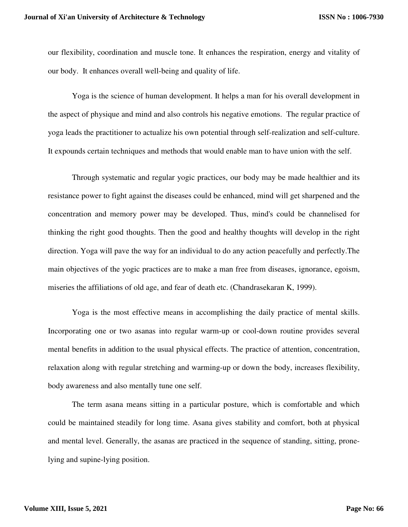our flexibility, coordination and muscle tone. It enhances the respiration, energy and vitality of our body. It enhances overall well-being and quality of life.

Yoga is the science of human development. It helps a man for his overall development in the aspect of physique and mind and also controls his negative emotions. The regular practice of yoga leads the practitioner to actualize his own potential through self-realization and self-culture. It expounds certain techniques and methods that would enable man to have union with the self.

Through systematic and regular yogic practices, our body may be made healthier and its resistance power to fight against the diseases could be enhanced, mind will get sharpened and the concentration and memory power may be developed. Thus, mind's could be channelised for thinking the right good thoughts. Then the good and healthy thoughts will develop in the right direction. Yoga will pave the way for an individual to do any action peacefully and perfectly.The main objectives of the yogic practices are to make a man free from diseases, ignorance, egoism, miseries the affiliations of old age, and fear of death etc. (Chandrasekaran K, 1999).

Yoga is the most effective means in accomplishing the daily practice of mental skills. Incorporating one or two asanas into regular warm-up or cool-down routine provides several mental benefits in addition to the usual physical effects. The practice of attention, concentration, relaxation along with regular stretching and warming-up or down the body, increases flexibility, body awareness and also mentally tune one self.

The term asana means sitting in a particular posture, which is comfortable and which could be maintained steadily for long time. Asana gives stability and comfort, both at physical and mental level. Generally, the asanas are practiced in the sequence of standing, sitting, pronelying and supine-lying position.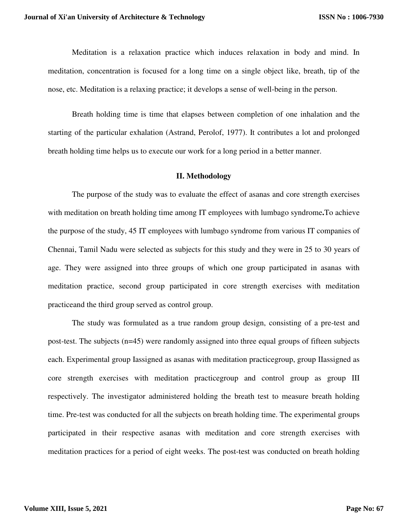Meditation is a relaxation practice which induces relaxation in body and mind. In meditation, concentration is focused for a long time on a single object like, breath, tip of the nose, etc. Meditation is a relaxing practice; it develops a sense of well-being in the person.

Breath holding time is time that elapses between completion of one inhalation and the starting of the particular exhalation (Astrand, Perolof, 1977). It contributes a lot and prolonged breath holding time helps us to execute our work for a long period in a better manner.

#### **II. Methodology**

The purpose of the study was to evaluate the effect of asanas and core strength exercises with meditation on breath holding time among IT employees with lumbago syndrome**.**To achieve the purpose of the study, 45 IT employees with lumbago syndrome from various IT companies of Chennai, Tamil Nadu were selected as subjects for this study and they were in 25 to 30 years of age. They were assigned into three groups of which one group participated in asanas with meditation practice, second group participated in core strength exercises with meditation practiceand the third group served as control group.

The study was formulated as a true random group design, consisting of a pre-test and post-test. The subjects (n=45) were randomly assigned into three equal groups of fifteen subjects each. Experimental group Iassigned as asanas with meditation practicegroup, group IIassigned as core strength exercises with meditation practicegroup and control group as group III respectively. The investigator administered holding the breath test to measure breath holding time. Pre-test was conducted for all the subjects on breath holding time. The experimental groups participated in their respective asanas with meditation and core strength exercises with meditation practices for a period of eight weeks. The post-test was conducted on breath holding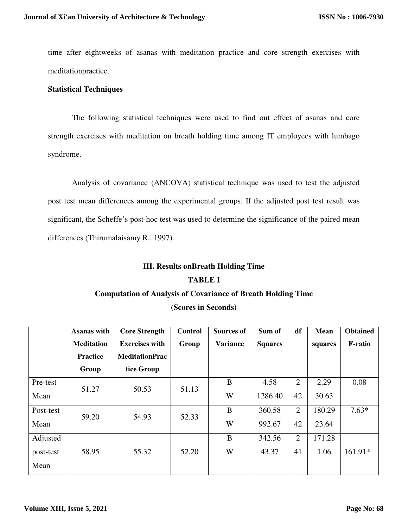time after eightweeks of asanas with meditation practice and core strength exercises with meditationpractice.

## **Statistical Techniques**

The following statistical techniques were used to find out effect of asanas and core strength exercises with meditation on breath holding time among IT employees with lumbago syndrome.

Analysis of covariance (ANCOVA) statistical technique was used to test the adjusted post test mean differences among the experimental groups. If the adjusted post test result was significant, the Scheffe's post-hoc test was used to determine the significance of the paired mean differences (Thirumalaisamy R., 1997).

# **III. Results onBreath Holding Time TABLE I**

## **Computation of Analysis of Covariance of Breath Holding Time**

**(Scores in Seconds)**

|           | <b>Asanas with</b> | <b>Core Strength</b>  | <b>Control</b> | <b>Sources of</b> | Sum of         | df             | <b>Mean</b> | <b>Obtained</b> |
|-----------|--------------------|-----------------------|----------------|-------------------|----------------|----------------|-------------|-----------------|
|           | <b>Meditation</b>  | <b>Exercises with</b> | Group          | <b>Variance</b>   | <b>Squares</b> |                | squares     | <b>F-ratio</b>  |
|           | <b>Practice</b>    | <b>MeditationPrac</b> |                |                   |                |                |             |                 |
|           | Group              | tice Group            |                |                   |                |                |             |                 |
| Pre-test  | 51.27              | 50.53                 | 51.13          | B                 | 4.58           | $\overline{2}$ | 2.29        | 0.08            |
| Mean      |                    |                       |                | W                 | 1286.40        | 42             | 30.63       |                 |
| Post-test | 59.20              | 54.93                 | 52.33          | B                 | 360.58         | $\overline{2}$ | 180.29      | $7.63*$         |
| Mean      |                    |                       |                | W                 | 992.67         | 42             | 23.64       |                 |
| Adjusted  |                    |                       |                | B                 | 342.56         | $\overline{2}$ | 171.28      |                 |
| post-test | 58.95              | 55.32                 | 52.20          | W                 | 43.37          | 41             | 1.06        | 161.91*         |
| Mean      |                    |                       |                |                   |                |                |             |                 |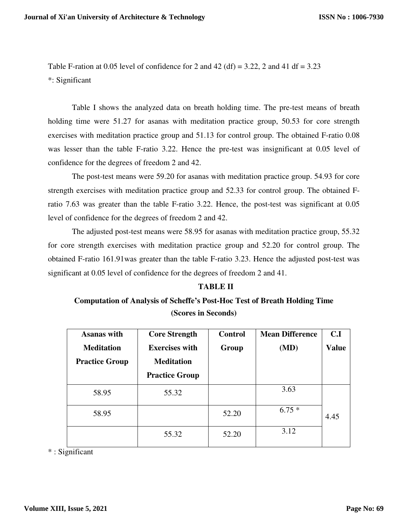Table F-ration at 0.05 level of confidence for 2 and 42 (df) = 3.22, 2 and 41 df = 3.23 \*: Significant

Table I shows the analyzed data on breath holding time. The pre-test means of breath holding time were 51.27 for asanas with meditation practice group, 50.53 for core strength exercises with meditation practice group and 51.13 for control group. The obtained F-ratio 0.08 was lesser than the table F-ratio 3.22. Hence the pre-test was insignificant at 0.05 level of confidence for the degrees of freedom 2 and 42.

The post-test means were 59.20 for asanas with meditation practice group. 54.93 for core strength exercises with meditation practice group and 52.33 for control group. The obtained Fratio 7.63 was greater than the table F-ratio 3.22. Hence, the post-test was significant at 0.05 level of confidence for the degrees of freedom 2 and 42.

The adjusted post-test means were 58.95 for asanas with meditation practice group, 55.32 for core strength exercises with meditation practice group and 52.20 for control group. The obtained F-ratio 161.91was greater than the table F-ratio 3.23. Hence the adjusted post-test was significant at 0.05 level of confidence for the degrees of freedom 2 and 41.

## **TABLE II**

# **Computation of Analysis of Scheffe's Post-Hoc Test of Breath Holding Time (Scores in Seconds)**

| <b>Asanas with</b><br><b>Meditation</b><br><b>Practice Group</b> | <b>Core Strength</b><br><b>Exercises with</b><br><b>Meditation</b> | <b>Control</b><br>Group | <b>Mean Difference</b><br>(MD) | C.I<br><b>Value</b> |
|------------------------------------------------------------------|--------------------------------------------------------------------|-------------------------|--------------------------------|---------------------|
|                                                                  | <b>Practice Group</b>                                              |                         |                                |                     |
| 58.95                                                            | 55.32                                                              |                         | 3.63                           |                     |
| 58.95                                                            |                                                                    | 52.20                   | $6.75*$                        | 4.45                |
|                                                                  | 55.32                                                              | 52.20                   | 3.12                           |                     |

\* : Significant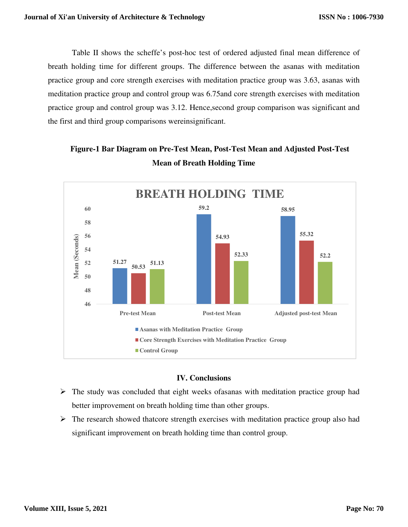Table II shows the scheffe's post-hoc test of ordered adjusted final mean difference of breath holding time for different groups. The difference between the asanas with meditation practice group and core strength exercises with meditation practice group was 3.63, asanas with meditation practice group and control group was 6.75and core strength exercises with meditation practice group and control group was 3.12. Hence,second group comparison was significant and the first and third group comparisons wereinsignificant.

# **Figure-1 Bar Diagram on Pre-Test Mean, Post-Test Mean and Adjusted Post-Test Mean of Breath Holding Time**



## **IV. Conclusions**

- $\triangleright$  The study was concluded that eight weeks of as a with meditation practice group had better improvement on breath holding time than other groups.
- $\triangleright$  The research showed thatcore strength exercises with meditation practice group also had significant improvement on breath holding time than control group.